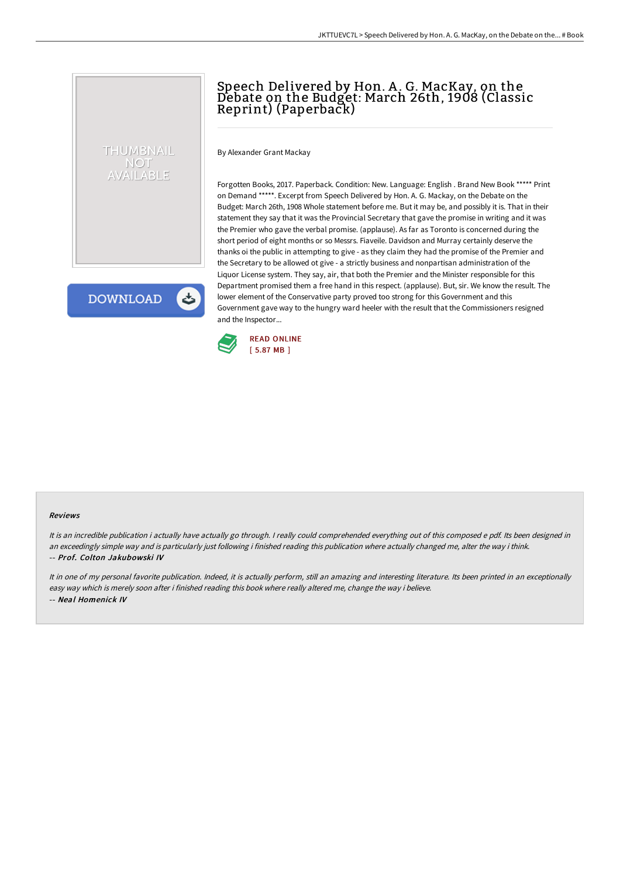## Speech Delivered by Hon. A .G. MacKay, on the Debate on the Budget: March 26th, 1908 (Classic Reprint) (Paperback)

By Alexander Grant Mackay

Forgotten Books, 2017. Paperback. Condition: New. Language: English . Brand New Book \*\*\*\*\* Print on Demand \*\*\*\*\*. Excerpt from Speech Delivered by Hon. A. G. Mackay, on the Debate on the Budget: March 26th, 1908 Whole statement before me. But it may be, and possibly it is. That in their statement they say that it was the Provincial Secretary that gave the promise in writing and it was the Premier who gave the verbal promise. (applause). As far as Toronto is concerned during the short period of eight months or so Messrs. Fiaveile. Davidson and Murray certainly deserve the thanks oi the public in attempting to give - as they claim they had the promise of the Premier and the Secretary to be allowed ot give - a strictly business and nonpartisan administration of the Liquor License system. They say, air, that both the Premier and the Minister responsible for this Department promised them a free hand in this respect. (applause). But, sir. We know the result. The lower element of the Conservative party proved too strong for this Government and this Government gave way to the hungry ward heeler with the result that the Commissioners resigned and the Inspector...



## **DOWNLOAD**

THUMBNAIL **NOT** VAILABLE

## Reviews

It is an incredible publication i actually have actually go through. I really could comprehended everything out of this composed e pdf. Its been designed in an exceedingly simple way and is particularly just following i finished reading this publication where actually changed me, alter the way i think. -- Prof. Colton Jakubowski IV

It in one of my personal favorite publication. Indeed, it is actually perform, still an amazing and interesting literature. Its been printed in an exceptionally easy way which is merely soon after i finished reading this book where really altered me, change the way i believe. -- Neal Homenick IV